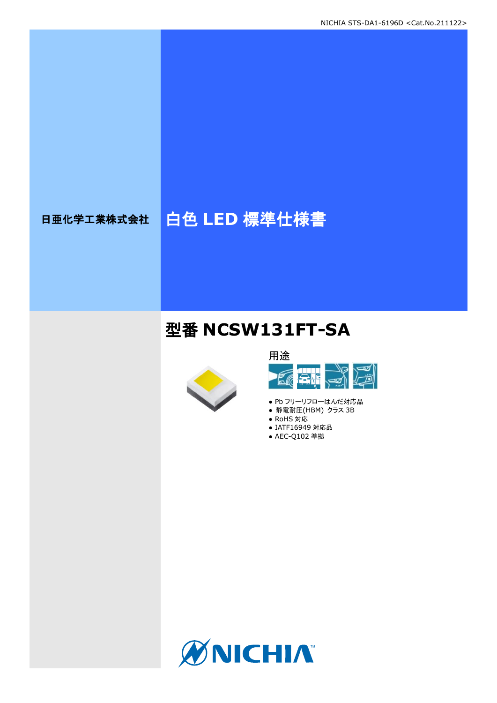# 日亜化学工業株式会社 | 白色 LED 標準仕様書

# 型番 **NCSW131FT-SA**





- Pb フリーリフローはんだ対応品
- 静電耐圧(HBM) クラス 3B
- RoHS 対応
- IATF16949 対応品 ● AEC-Q102 準拠

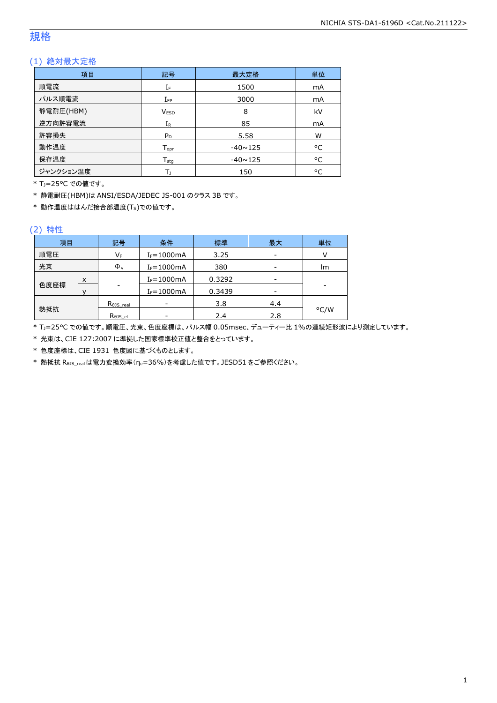### 規格

### (1) 絶対最大定格

| 項目        | 記号                 | 最大定格           | 単位 |
|-----------|--------------------|----------------|----|
| 順電流       | IF                 | 1500           | mA |
| パルス順電流    | $I_{FP}$           | 3000           | mA |
| 静電耐圧(HBM) | <b>VESD</b>        | 8              | kV |
| 逆方向許容電流   | $I_{R}$            | 85             | mA |
| 許容損失      | $P_D$              | 5.58           | W  |
| 動作温度      | $T_{\mathsf{opr}}$ | $-40 \sim 125$ | °C |
| 保存温度      | $T_{sta}$          | $-40 \sim 125$ | °C |
| ジャンクション温度 | Т١                 | 150            | °C |

\* TJ=25°C での値です。

\* 静電耐圧(HBM)は ANSI/ESDA/JEDEC JS-001 のクラス 3B です。

\* 動作温度ははんだ接合部温度(TS)での値です。

#### (2) 特性

| 項目   |   | 記号                   | 条件             | 標準     | 最大  |      |
|------|---|----------------------|----------------|--------|-----|------|
| 順電圧  |   | VF                   | $I_F = 1000mA$ | 3.25   |     |      |
| 光束   |   | $\Phi_{v}$           | $I_F = 1000mA$ | 380    |     | lm   |
|      | X |                      | $I_F = 1000mA$ | 0.3292 |     |      |
| 色度座標 |   | -                    | $I_F = 1000mA$ | 0.3439 |     |      |
|      |   | $R_{\theta}$ JS_real |                | 3.8    | 4.4 |      |
| 熱抵抗  |   | Rejs el              |                | 2.4    | 2.8 | °C/W |

\* TJ=25°C での値です。順電圧、光束、色度座標は、パルス幅 0.05msec、デューティー比 1%の連続矩形波により測定しています。

\* 光束は、CIE 127:2007 に準拠した国家標準校正値と整合をとっています。

\* 色度座標は、CIE 1931 色度図に基づくものとします。

\* 熱抵抗 RθJS\_realは電力変換効率(ηe=36%)を考慮した値です。JESD51 をご参照ください。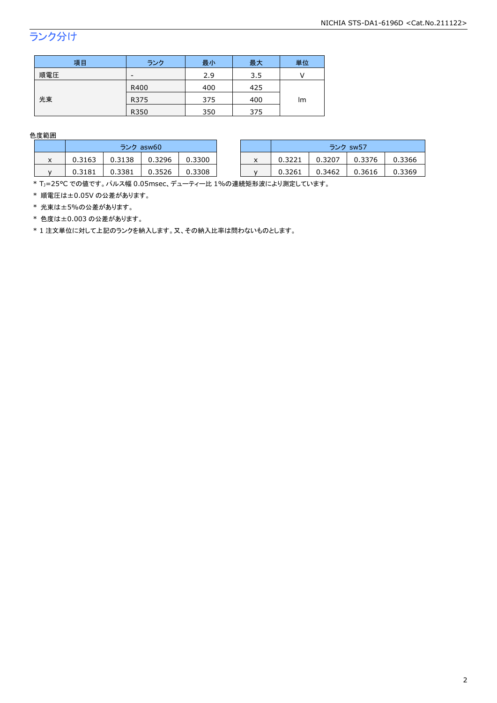## ランク分け

| 項目  | ランク  | 最小  | 最大  | 単位 |  |
|-----|------|-----|-----|----|--|
| 順電圧 | -    | 2.9 | 3.5 |    |  |
|     | R400 | 400 | 425 | Im |  |
| 光束  | R375 | 375 | 400 |    |  |
|     | R350 | 350 | 375 |    |  |

色度範囲

|   | ランク asw60 |        |        | ランク sw57 |   |        |        |        |        |
|---|-----------|--------|--------|----------|---|--------|--------|--------|--------|
| ᄉ | 0.3163    | 0.3138 | 0.3296 | 0.3300   | x | 0.3221 | 0.3207 | 0.3376 | 0.3366 |
|   | 0.3181    | 0.3381 | 3526   | 0.3308   |   | 0.3261 | 0.3462 | 0.3616 | 0.3369 |

\* Tj=25°C での値です。パルス幅 0.05msec、デューティー比 1%の連続矩形波により測定しています。

\* 順電圧は±0.05V の公差があります。

\* 光束は±5%の公差があります。

\* 色度は±0.003 の公差があります。

\* 1 注文単位に対して上記のランクを納入します。又、その納入比率は問わないものとします。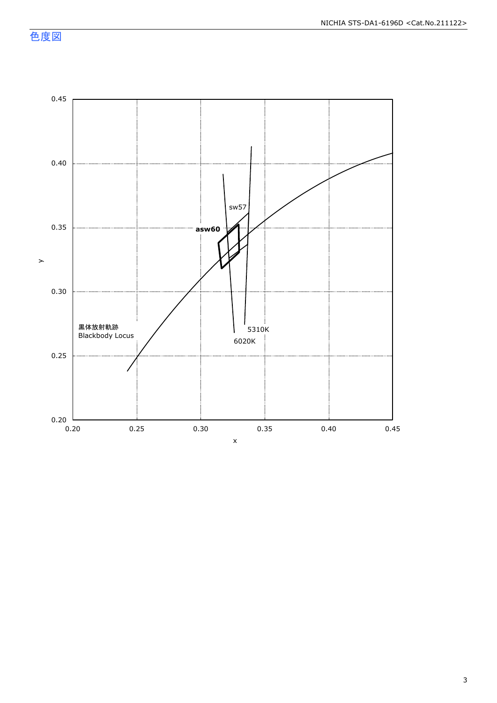色度図

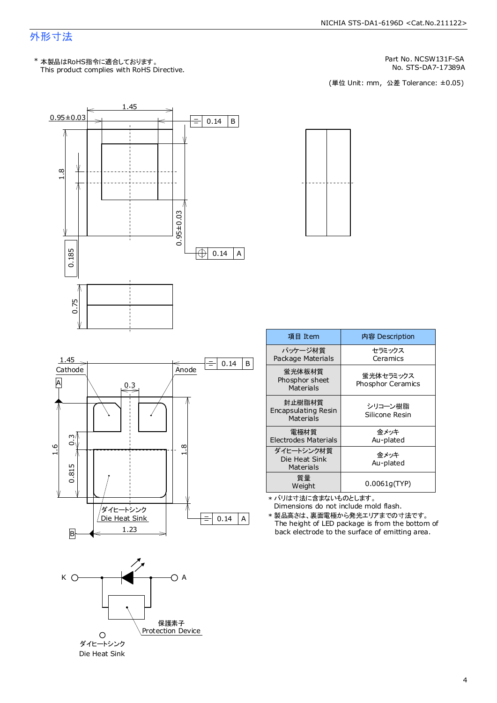### 外形寸法

This product complies with RoHS Directive. \* 本製品はRoHS指令に適合しております。

Part No. NCSW131F-SA

No. STS-DA7-17389A<br>(単位 Unit: mm,公差 Tolerance: ±0.05)





\* バリは寸法に含まないものとします。 0.0061g(TYP) Weight

Dimensions do not include mold flash.

The height of LED package is from the bottom of back electrode to the surface of emitting area. \* 製品高さは、裏面電極から発光エリアまでの寸法です。





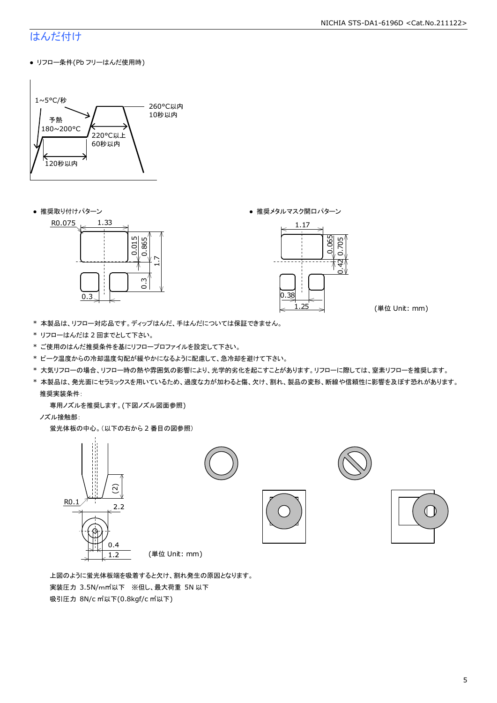### はんだ付け

● リフロー条件(Pb フリーはんだ使用時)



● 推奨取り付けパターン ろんじょう しょうしゃ ゆうしゃ ウィック あんきょう きょうかん きゅうしょく 推奨メタルマスク開口パターン





(単位 Unit: mm)

- \* 本製品は、リフロー対応品です。ディップはんだ、手はんだについては保証できません。
- \* リフローはんだは 2 回までとして下さい。
- \* ご使用のはんだ推奨条件を基にリフロープロファイルを設定して下さい。
- \* ピーク温度からの冷却温度勾配が緩やかになるように配慮して、急冷却を避けて下さい。
- \* 大気リフローの場合、リフロー時の熱や雰囲気の影響により、光学的劣化を起こすことがあります。リフローに際しては、窒素リフローを推奨します。
- \* 本製品は、発光面にセラミックスを用いているため、過度な力が加わると傷、欠け、割れ、製品の変形、断線や信頼性に影響を及ぼす恐れがあります。 推奨実装条件:

専用ノズルを推奨します。(下図ノズル図面参照)

ノズル接触部:

蛍光体板の中心。(以下の右から 2 番目の図参照)



 上図のように蛍光体板端を吸着すると欠け、割れ発生の原因となります。 実装圧力 3.5N/m㎡以下 ※但し、最大荷重 5N 以下 吸引圧力 8N/c ㎡以下(0.8kgf/c ㎡以下)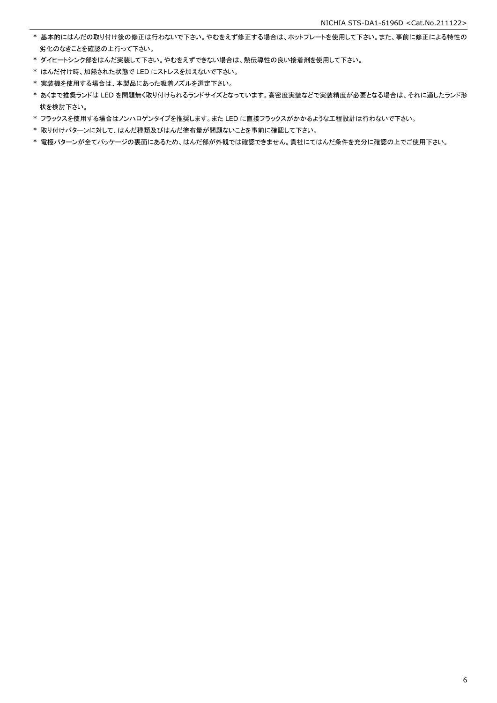- \* 基本的にはんだの取り付け後の修正は行わないで下さい。やむをえず修正する場合は、ホットプレートを使用して下さい。また、事前に修正による特性の 劣化のなきことを確認の上行って下さい。
- \* ダイヒートシンク部をはんだ実装して下さい。やむをえずできない場合は、熱伝導性の良い接着剤を使用して下さい。
- \* はんだ付け時、加熱された状態で LED にストレスを加えないで下さい。
- \* 実装機を使用する場合は、本製品にあった吸着ノズルを選定下さい。
- \* あくまで推奨ランドは LED を問題無く取り付けられるランドサイズとなっています。高密度実装などで実装精度が必要となる場合は、それに適したランド形 状を検討下さい。
- \* フラックスを使用する場合はノンハロゲンタイプを推奨します。また LED に直接フラックスがかかるような工程設計は行わないで下さい。
- \* 取り付けパターンに対して、はんだ種類及びはんだ塗布量が問題ないことを事前に確認して下さい。
- \* 電極パターンが全てパッケージの裏面にあるため、はんだ部が外観では確認できません。貴社にてはんだ条件を充分に確認の上でご使用下さい。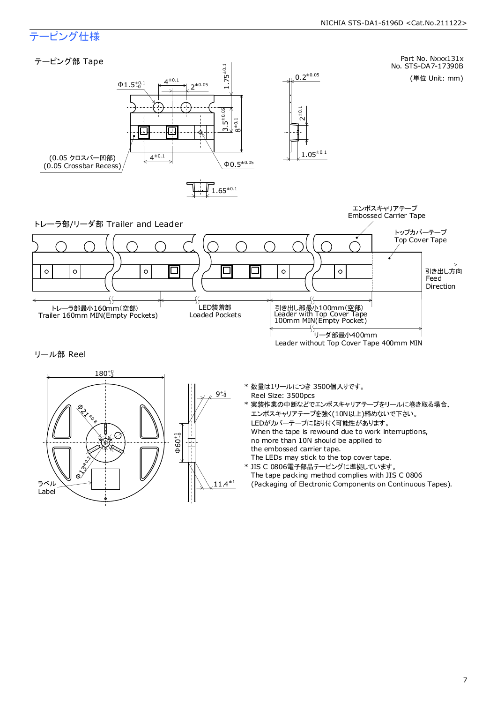### テーピング仕様

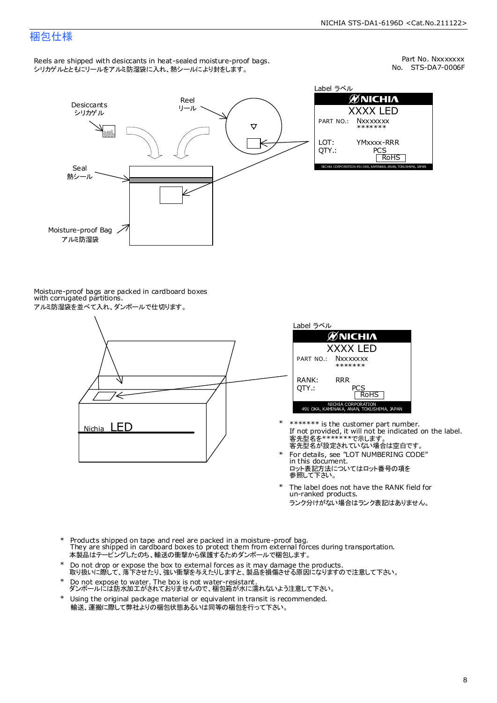### 梱包仕様

Reels are shipped with desiccants in heat-sealed moisture-proof bags. シリカゲルとともにリールをアルミ防湿袋に入れ、熱シールにより封をします。

No. STS-DA7-0006F Part No. Nxxxxxxx



Label ラベル  $\mathscr{D}$ NICHIA XXXX LED PART NO.: **Nxxxxxxx** \*\*\*\*\*\*\* LOT: YMxxxx-RRR QTY.: PCS<br>RoHS INAKA, ANAN, TOKUSHIMA, JA

Moisture-proof bags are packed in cardboard boxes with corrugated partitions. アルミ防湿袋を並べて入れ、ダンボールで仕切ります。





- 客先型名が設定されていない場合は空白です。 客先型名を\*\*\*\*\*\*\*で示します。 If not provided, it will not be indicated on the label. \*\*\*\*\*\*\* is the customer part number.
- For details, see "LOT NUMBERING CODE" in this document. ロット表記方法についてはロット番号の項を<br>参照して下さい。 \*
- The label does not have the RANK field for un-ranked products. ランク分けがない場合はランク表記はありません。 \*
- Products shipped on tape and reel are packed in a moisture-proof bag. They are shipped in cardboard boxes to protect them from external forces during transportation. 本製品はテーピングしたのち、輸送の衝撃から保護するためダンボールで梱包します。 \*
- Do not drop or expose the box to external forces as it may damage the products. 取り扱いに際して、落下させたり、強い衝撃を与えたりしますと、製品を損傷させる原因になりますので注意して下さい。 \*
- Do not expose to water. The box is not water-resistant. ダンボールには防水加工がされておりませんので、梱包箱が水に濡れないよう注意して下さい。 \*
- \* Using the original package material or equivalent in transit is recommended. 輸送、運搬に際して弊社よりの梱包状態あるいは同等の梱包を行って下さい。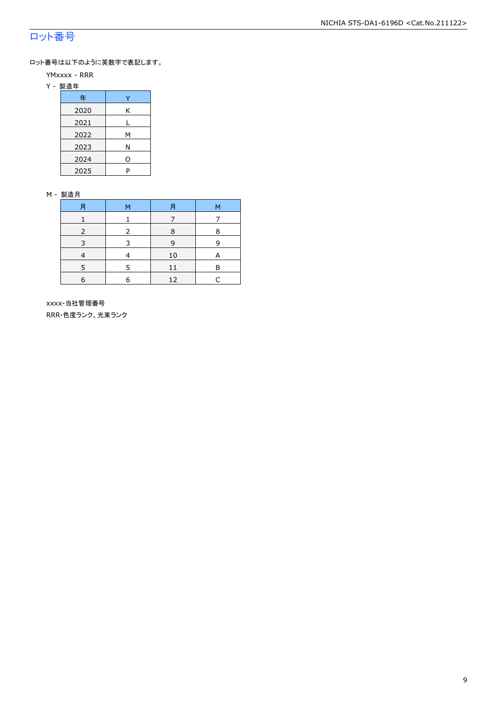### ロット番号

ロット番号は以下のように英数字で表記します。

- YMxxxx RRR
- Y 製造年

| 年    |   |
|------|---|
| 2020 | Κ |
| 2021 |   |
| 2022 | м |
| 2023 | Ν |
| 2024 | 0 |
| 2025 | P |

#### M - 製造月

| F          | M | F  | M |
|------------|---|----|---|
|            |   |    |   |
|            |   | 8  | 8 |
|            |   | q  |   |
|            |   | 10 | А |
|            | 5 | 11 | R |
| $\epsilon$ | 6 | 12 |   |

 xxxx-当社管理番号 RRR-色度ランク、光束ランク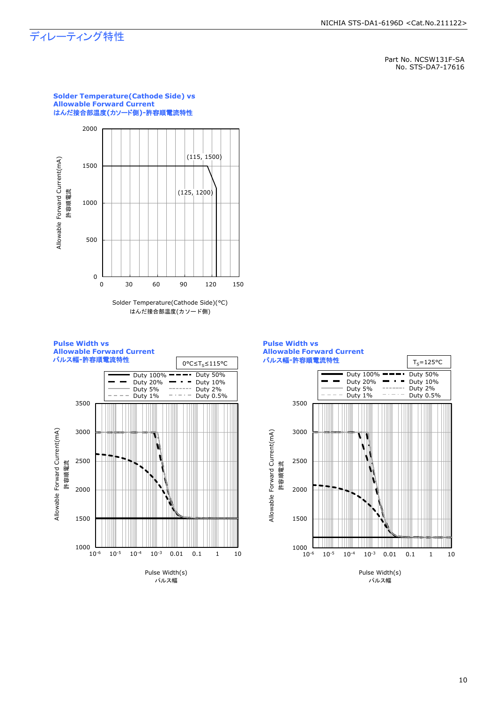### ディレーティング特性

Part No. NCSW131F-SA No. STS-DA7-17616





### **Solder Temperature(Cathode Side) vs Allowable Forward Current**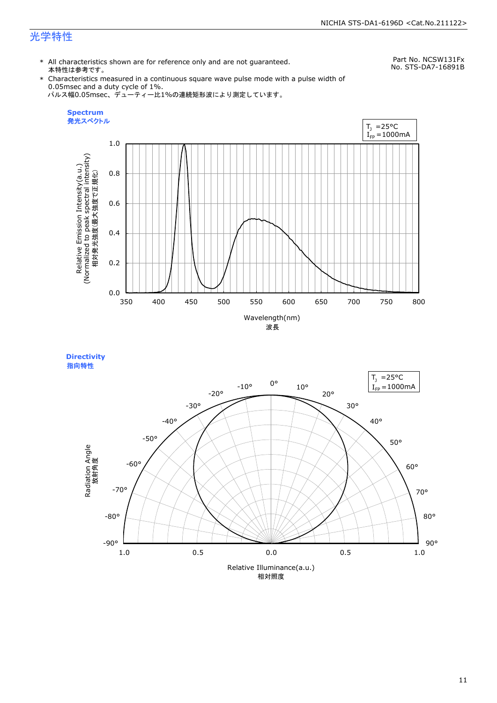### 光学特性

\* All characteristics shown are for reference only and are not guaranteed. 本特性は参考です。

Part No. NCSW131Fx No. STS-DA7-16891B

\* Characteristics measured in a continuous square wave pulse mode with a pulse width of 0.05msec and a duty cycle of 1%. パルス幅0.05msec、デューティー比1%の連続矩形波により測定しています。



**Directivity**  指向特性

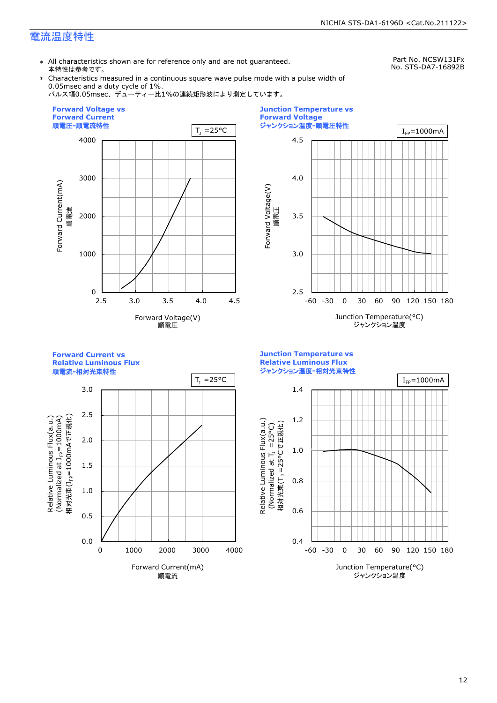### 電流温度特性

\* All characteristics shown are for reference only and are not guaranteed. 本特性は参考です。

Part No. NCSW131Fx No. STS-DA7-16892B

\* Characteristics measured in a continuous square wave pulse mode with a pulse width of 0.05msec and a duty cycle of 1%.

パルス幅0.05msec、デューティー比1%の連続矩形波により測定しています。





**Forward Current vs** 

**Relative Luminous Flux**



0.4 0.6 0.8 1.0 1.2 1.4 -60 -30 0 30 60 90 120 150 180 Junction Temperature(°C) ジャンクション温度  $T_1 = 25^{\circ}C$  |  $I_{\text{FP}} = 1000 \text{mA}$ (Normalized at  $T_1$  =25°C) 相対光束(T」=25°Cで正規化) m i

**Junction Temperature vs Relative Luminous Flux** ジャンクション温度**-**相対光束特性

Relative Luminous Flux(a.u.)

Relative Luminous Flux(a.u.)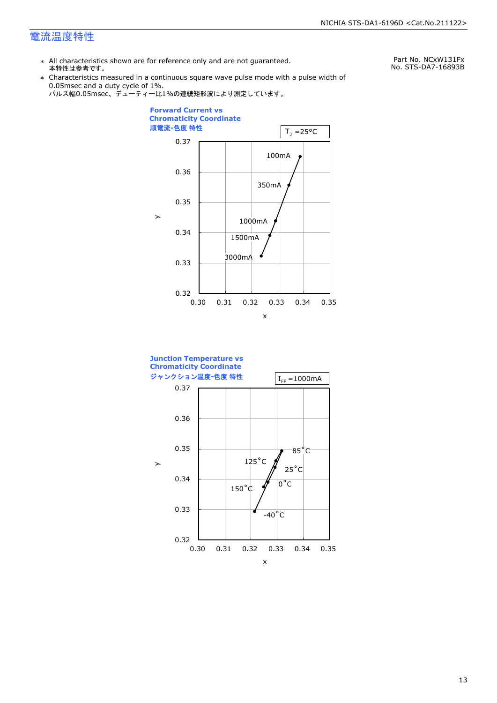### 電流温度特性

\* All characteristics shown are for reference only and are not guaranteed. 本特性は参考です。

Part No. NCxW131Fx No. STS-DA7-16893B

\* Characteristics measured in a continuous square wave pulse mode with a pulse width of 0.05msec and a duty cycle of 1%.





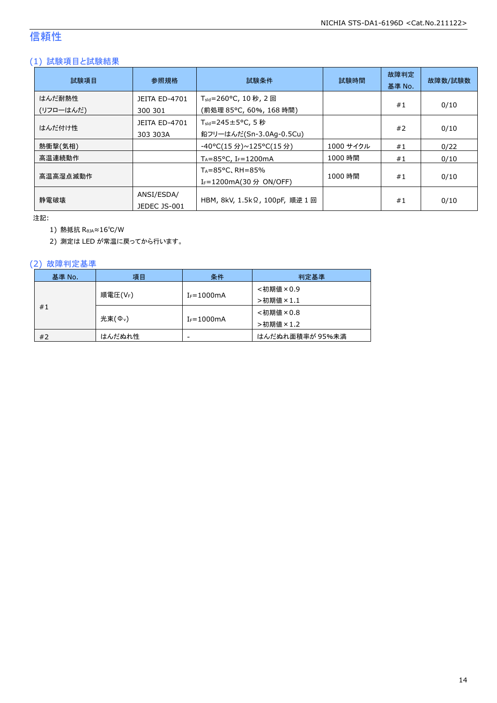### 信頼性

### (1) 試験項目と試験結果

| 試験項目                | 参照規格                             | 試験条件                                                                   | 試験時間      | 故障判定<br>基準 No. | 故障数/試験数 |
|---------------------|----------------------------------|------------------------------------------------------------------------|-----------|----------------|---------|
| はんだ耐熱性<br>(リフローはんだ) | <b>JEITA ED-4701</b><br>300 301  | T <sub>sld</sub> =260°C, 10 秒, 2 回<br>(前処理 85℃, 60%, 168 時間)           |           | #1             | 0/10    |
| はんだ付け性              | <b>JEITA ED-4701</b><br>303 303A | $T_{\text{std}} = 245 \pm 5^{\circ}$ C, 5 秒<br>鉛フリーはんだ(Sn-3.0Ag-0.5Cu) |           | #2             | 0/10    |
| 熱衝撃(気相)             |                                  | -40°C(15 分)~125°C(15 分)                                                | 1000 サイクル | #1             | 0/22    |
| 高温連続動作              |                                  | $T_A = 85^{\circ}$ C, I <sub>F</sub> =1200mA                           | 1000 時間   | #1             | 0/10    |
| 高温高湿点滅動作            |                                  | $T_A = 85^{\circ}$ C, RH = 85%<br>I <sub>F</sub> =1200mA(30 分 ON/OFF)  | 1000 時間   | #1             | 0/10    |
| 静雷破壊                | ANSI/ESDA/<br>JEDEC JS-001       | HBM, 8kV, 1.5kΩ, 100pF, 順逆 1 回                                         |           | #1             | 0/10    |

注記:

1) 熱抵抗 RθJA≈16℃/W

2) 測定は LED が常温に戻ってから行います。

#### (2) 故障判定基準

| 基準 No. | 項目                 | 条件                       | 判定基準            |
|--------|--------------------|--------------------------|-----------------|
|        |                    |                          | <初期値×0.9        |
| #1     | 順電圧(VF)            | $I_F = 1000$ mA          | >初期値×1.1        |
|        |                    |                          | <初期値×0.8        |
|        | 光束( $\Phi_{\nu}$ ) | $I_F = 1000$ mA          | >初期値×1.2        |
| #2     | はんだぬれ性             | $\overline{\phantom{a}}$ | はんだぬれ面積率が 95%未満 |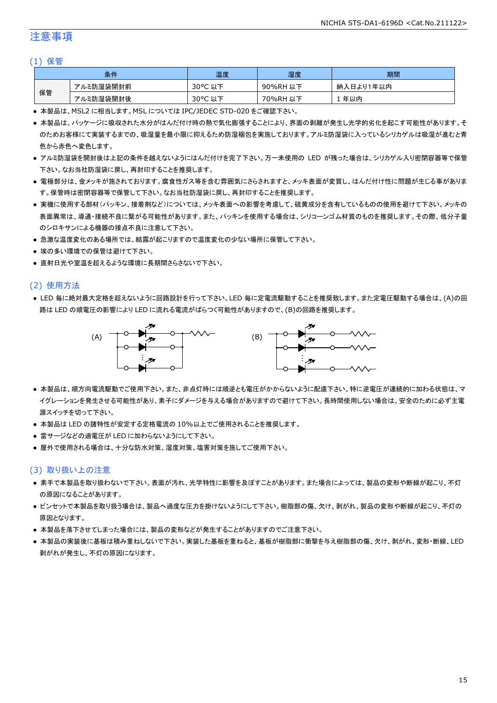### 注意事項

#### (1) 保管

|    | 条件        | 温度                  | 湿度       | 期間        |
|----|-----------|---------------------|----------|-----------|
|    | アルミ防湿袋開封前 | $30^{\circ}$ C<br>丛 | 90%RH 以下 | 納入日より1年以内 |
| 保管 | アルミ防湿袋開封後 | $30^{\circ}$ C<br>ᅛ | 70%RH 以下 | 年以内       |

● 本製品は、MSL2 に相当します。MSL については IPC/JEDEC STD-020 をご確認下さい。

- 本製品は、パッケージに吸収された水分がはんだ付け時の熱で気化膨張することにより、界面の剥離が発生し光学的劣化を起こす可能性があります。そ のためお客様にて実装するまでの、吸湿量を最小限に抑えるため防湿梱包を実施しております。アルミ防湿袋に入っているシリカゲルは吸湿が進むと青 色から赤色へ変色します。
- アルミ防湿袋を開封後は上記の条件を越えないようにはんだ付けを完了下さい。万一未使用の LED が残った場合は、シリカゲル入り密閉容器等で保管 下さい。なお当社防湿袋に戻し、再封印することを推奨します。
- 電極部分は、金メッキが施されております。腐食性ガス等を含む雰囲気にさらされますと、メッキ表面が変質し、はんだ付け性に問題が生じる事がありま す。保管時は密閉容器等で保管して下さい。なお当社防湿袋に戻し、再封印することを推奨します。
- 実機に使用する部材(パッキン、接着剤など)については、メッキ表面への影響を考慮して、硫黄成分を含有しているものの使用を避けて下さい。メッキの 表面異常は、導通・接続不良に繋がる可能性があります。また、パッキンを使用する場合は、シリコーンゴム材質のものを推奨します。その際、低分子量 のシロキサンによる機器の接点不良に注意して下さい。
- 急激な温度変化のある場所では、結露が起こりますので温度変化の少ない場所に保管して下さい。
- 埃の多い環境での保管は避けて下さい。
- 直射日光や室温を超えるような環境に長期間さらさないで下さい。

#### (2) 使用方法

● LED 毎に絶対最大定格を超えないように回路設計を行って下さい。LED 毎に定電流駆動することを推奨致します。また定電圧駆動する場合は、(A)の回 路は LED の順電圧の影響により LED に流れる電流がばらつく可能性がありますので、(B)の回路を推奨します。



- 本製品は、順方向電流駆動でご使用下さい。また、非点灯時には順逆とも電圧がかからないように配慮下さい。特に逆電圧が連続的に加わる状態は、マ イグレーションを発生させる可能性があり、素子にダメージを与える場合がありますので避けて下さい。長時間使用しない場合は、安全のために必ず主電 源スイッチを切って下さい。
- 本製品は LED の諸特性が安定する定格電流の 10%以上でご使用されることを推奨します。
- 雷サージなどの過電圧が LED に加わらないようにして下さい。
- 屋外で使用される場合は、十分な防水対策、湿度対策、塩害対策を施してご使用下さい。

#### (3) 取り扱い上の注意

- 素手で本製品を取り扱わないで下さい。表面が汚れ、光学特性に影響を及ぼすことがあります。また場合によっては、製品の変形や断線が起こり、不灯 の原因になることがあります。
- ピンセットで本製品を取り扱う場合は、製品へ過度な圧力を掛けないようにして下さい。樹脂部の傷、欠け、剥がれ、製品の変形や断線が起こり、不灯の 原因となります。
- 本製品を落下させてしまった場合には、製品の変形などが発生することがありますのでご注意下さい。
- 本製品の実装後に基板は積み重ねしないで下さい。実装した基板を重ねると、基板が樹脂部に衝撃を与え樹脂部の傷、欠け、剥がれ、変形・断線、LED 剥がれが発生し、不灯の原因になります。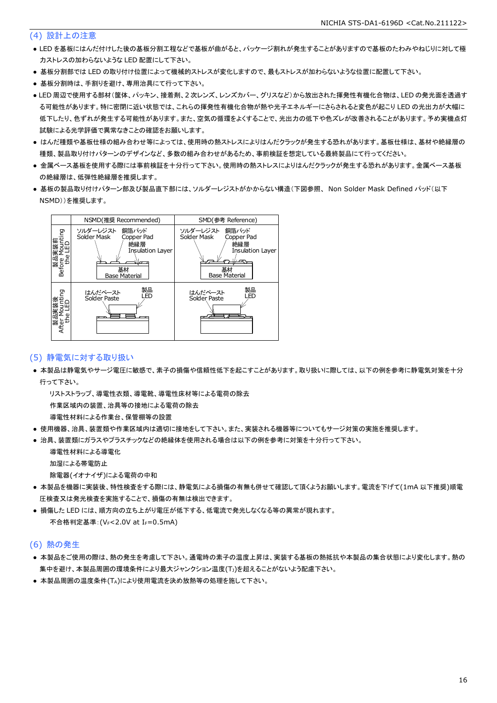#### (4) 設計上の注意

- LED を基板にはんだ付けした後の基板分割工程などで基板が曲がると、パッケージ割れが発生することがありますので基板のたわみやねじりに対して極 力ストレスの加わらないような LED 配置にして下さい。
- 基板分割部では LED の取り付け位置によって機械的ストレスが変化しますので、最もストレスが加わらないような位置に配置して下さい。
- 基板分割時は、手割りを避け、専用治具にて行って下さい。
- LED 周辺で使用する部材(筐体、パッキン、接着剤、2 次レンズ、レンズカバー、グリスなど)から放出された揮発性有機化合物は、LED の発光面を透過す る可能性があります。特に密閉に近い状態では、これらの揮発性有機化合物が熱や光子エネルギーにさらされると変色が起こり LED の光出力が大幅に 低下したり、色ずれが発生する可能性があります。また、空気の循環をよくすることで、光出力の低下や色ズレが改善されることがあります。予め実機点灯 試験による光学評価で異常なきことの確認をお願いします。
- はんだ種類や基板仕様の組み合わせ等によっては、使用時の熱ストレスによりはんだクラックが発生する恐れがあります。基板仕様は、基材や絶縁層の 種類、製品取り付けパターンのデザインなど、多数の組み合わせがあるため、事前検証を想定している最終製品にて行ってください。
- 金属ベース基板を使用する際には事前検証を十分行って下さい。使用時の熱ストレスによりはんだクラックが発生する恐れがあります。金属ベース基板 の絶縁層は、低弾性絶縁層を推奨します。
- 基板の製品取り付けパターン部及び製品直下部には、ソルダーレジストがかからない構造(下図参照、 Non Solder Mask Defined パッド(以下 NSMD))を推奨します。



#### (5) 静電気に対する取り扱い

● 本製品は静電気やサージ電圧に敏感で、素子の損傷や信頼性低下を起こすことがあります。取り扱いに際しては、以下の例を参考に静電気対策を十分 行って下さい。

 リストストラップ、導電性衣類、導電靴、導電性床材等による電荷の除去 作業区域内の装置、治具等の接地による電荷の除去

導電性材料による作業台、保管棚等の設置

- 使用機器、治具、装置類や作業区域内は適切に接地をして下さい。また、実装される機器等についてもサージ対策の実施を推奨します。
- 治具、装置類にガラスやプラスチックなどの絶縁体を使用される場合は以下の例を参考に対策を十分行って下さい。

 導電性材料による導電化 加湿による帯電防止

除電器(イオナイザ)による電荷の中和

- 本製品を機器に実装後、特性検査をする際には、静電気による損傷の有無も併せて確認して頂くようお願いします。電流を下げて(1mA 以下推奨)順電 圧検査又は発光検査を実施することで、損傷の有無は検出できます。
- 損傷した LED には、順方向の立ち上がり電圧が低下する、低電流で発光しなくなる等の異常が現れます。 不合格判定基準: (VF<2.0V at IF=0.5mA)

#### (6) 熱の発生

- 本製品をご使用の際は、熱の発生を考慮して下さい。通電時の素子の温度上昇は、実装する基板の熱抵抗や本製品の集合状態により変化します。熱の 集中を避け、本製品周囲の環境条件により最大ジャンクション温度(TJ)を超えることがないよう配慮下さい。
- 本製品周囲の温度条件(TA)により使用電流を決め放熱等の処理を施して下さい。